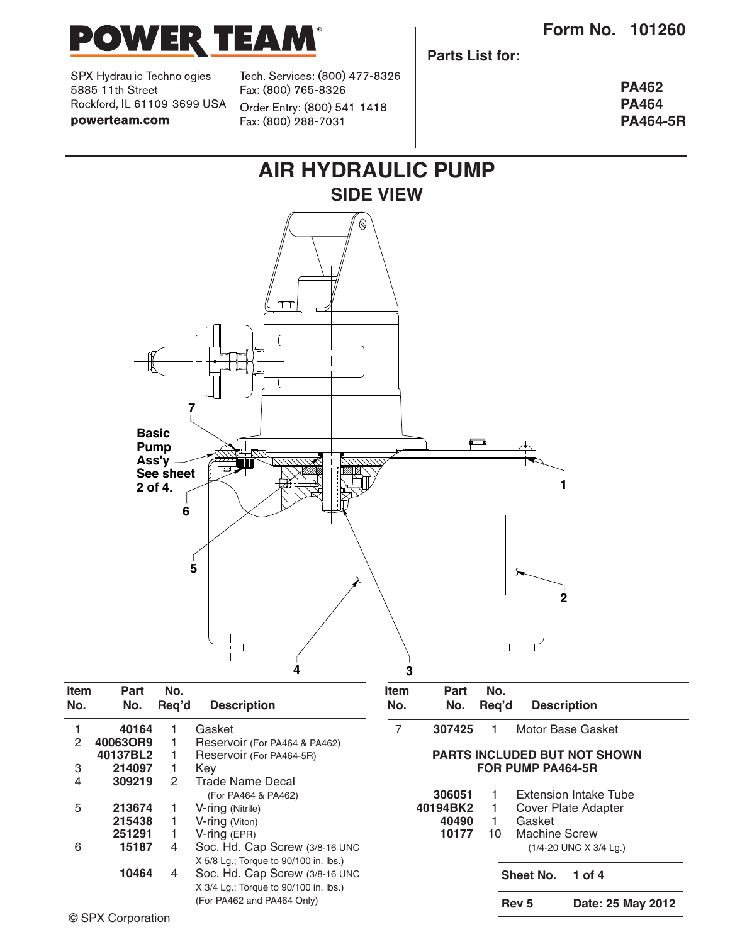

SPX Hydraulic Technologies 5885 11th Street Rockford, IL 61109-3699 USA powerteam.com

Tech. Services: (800) 477-8326 Fax: (800) 765-8326 Order Entry: (800) 541-1418 Fax: (800) 288-7031

**Parts List for:**

**PA462 PA464 PA464-5R**



| 306051<br>40194BK2<br>40490<br>10177 | $\overline{1}$<br>$\blacksquare$ 1<br>1.<br>$10-1$ | Extension Intake Tube<br>Cover Plate Adapter<br>Gasket<br>Machine Screw<br>$(1/4 - 20$ UNC X 3/4 Lg.) |
|--------------------------------------|----------------------------------------------------|-------------------------------------------------------------------------------------------------------|
|                                      |                                                    | Sheet No. 1 of 4                                                                                      |

**Rev 5 Date: 25 May 2012**

5 **213674** 1 V-ring (Nitrile)

**215438** 1 V-ring (Viton)<br>**251291** 1 V-ring (EPR) **251291** 1 V-ring (EPR)

6 **15187** 4 Soc. Hd. Cap Screw (3/8-16 UNC

**10464** 4 Soc. Hd. Cap Screw (3/8-16 UNC

X 5/8 Lg.; Torque to 90/100 in. lbs.)

X 3/4 Lg.; Torque to 90/100 in. lbs.) (For PA462 and PA464 Only)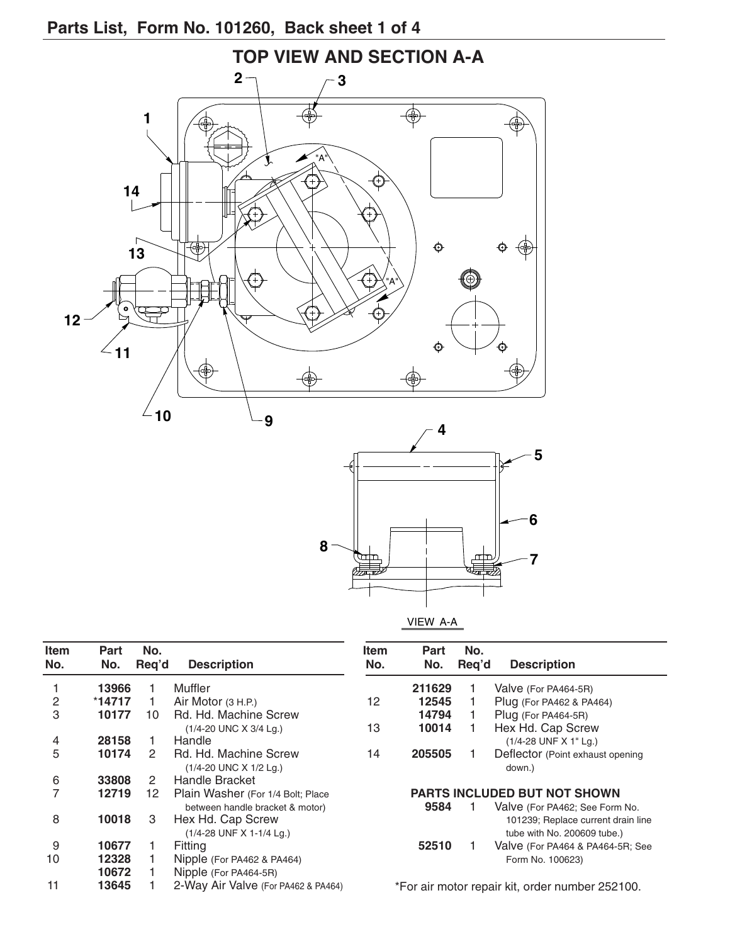### **Parts List, form No. 101260, Back sheet 1 of 4**





VIEW A-A

| <b>Item</b> | Part     | No.   |                                     | ltem                                            | <b>Part</b> | No.   |                                    |
|-------------|----------|-------|-------------------------------------|-------------------------------------------------|-------------|-------|------------------------------------|
| No.         | No.      | Req'd | <b>Description</b>                  | No.                                             | No.         | Reg'd | <b>Description</b>                 |
|             | 13966    |       | Muffler                             |                                                 | 211629      |       | Valve (For PA464-5R)               |
| 2           | $*14717$ |       | Air Motor $(3 H.P.)$                | 12                                              | 12545       |       | Plug (For PA462 & PA464)           |
| 3           | 10177    | 10    | Rd. Hd. Machine Screw               |                                                 | 14794       |       | Plug (For PA464-5R)                |
|             |          |       | (1/4-20 UNC X 3/4 Lg.)              | 13                                              | 10014       |       | Hex Hd. Cap Screw                  |
| 4           | 28158    |       | Handle                              |                                                 |             |       | (1/4-28 UNF X 1" Lg.)              |
| 5           | 10174    | 2     | Rd. Hd. Machine Screw               | 14                                              | 205505      |       | Deflector (Point exhaust opening   |
|             |          |       | (1/4-20 UNC X 1/2 Lg.)              |                                                 |             |       | down.)                             |
| 6           | 33808    | 2     | Handle Bracket                      |                                                 |             |       |                                    |
|             | 12719    | 12    | Plain Washer (For 1/4 Bolt; Place   | <b>PARTS INCLUDED BUT NOT SHOWN</b>             |             |       |                                    |
|             |          |       | between handle bracket & motor)     |                                                 | 9584        |       | Valve (For PA462; See Form No.     |
| 8           | 10018    | 3     | Hex Hd. Cap Screw                   |                                                 |             |       | 101239; Replace current drain line |
|             |          |       | (1/4-28 UNF X 1-1/4 Lg.)            |                                                 |             |       | tube with No. 200609 tube.)        |
| 9           | 10677    |       | Fitting                             |                                                 | 52510       |       | Valve (For PA464 & PA464-5R; See   |
| 10          | 12328    |       | Nipple (For PA462 & PA464)          |                                                 |             |       | Form No. 100623)                   |
|             | 10672    |       | Nipple (For PA464-5R)               |                                                 |             |       |                                    |
| 11          | 13645    |       | 2-Way Air Valve (For PA462 & PA464) | *For air motor repair kit, order number 252100. |             |       |                                    |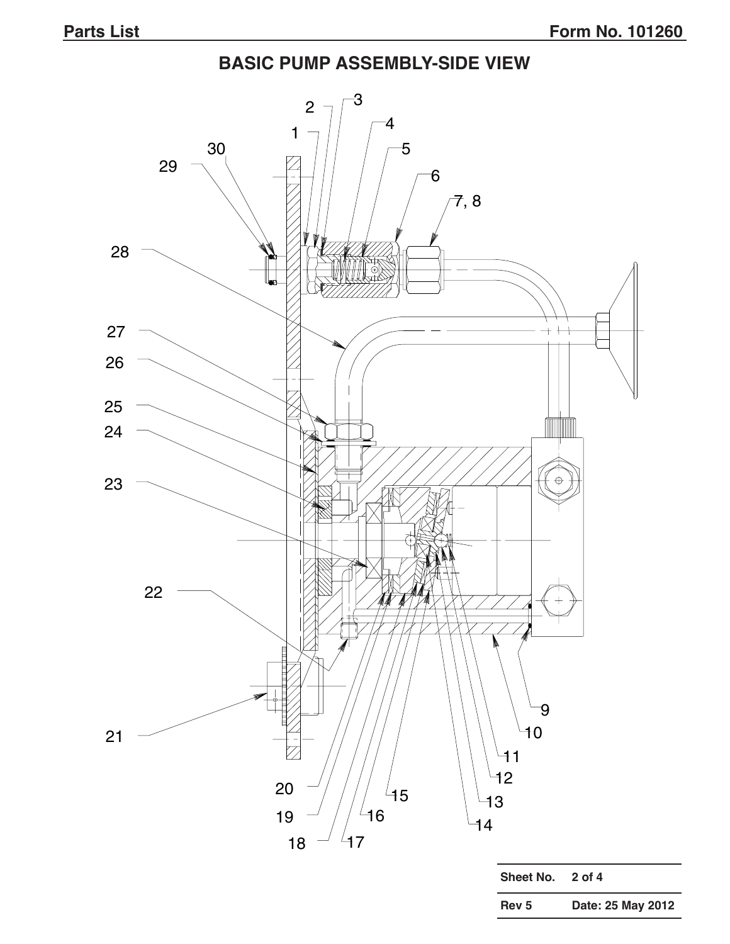# **BASIC PUMP ASSEMBLY-SIDE VIEW**

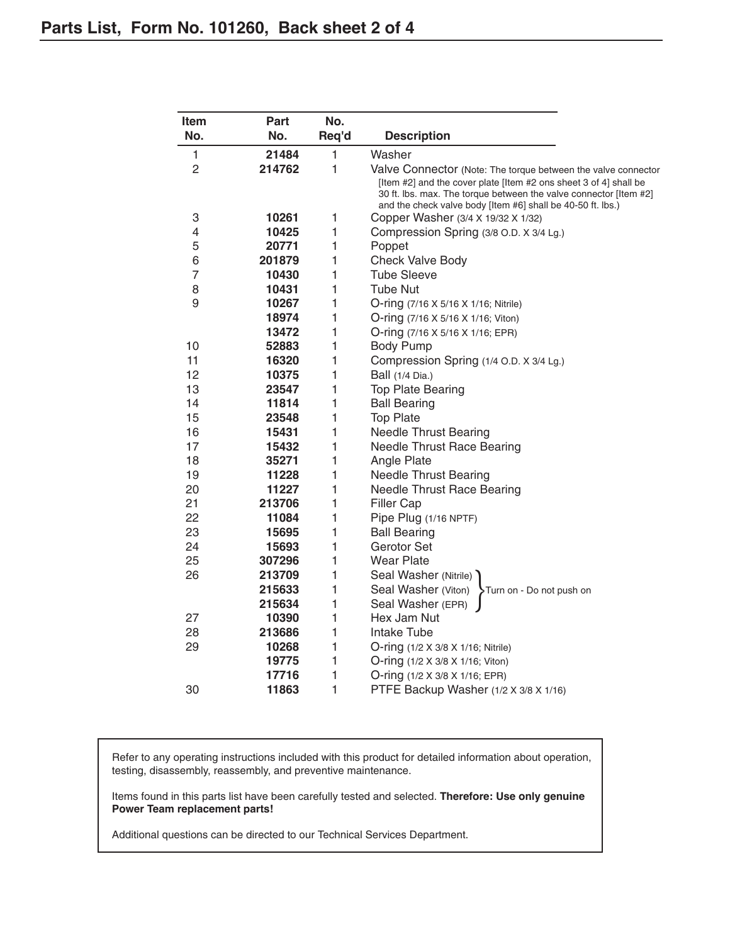| Item           | Part   | No.   |                                                                                                                                                                                                       |
|----------------|--------|-------|-------------------------------------------------------------------------------------------------------------------------------------------------------------------------------------------------------|
| No.            | No.    | Req'd | <b>Description</b>                                                                                                                                                                                    |
| 1              | 21484  | 1     | Washer                                                                                                                                                                                                |
| $\overline{c}$ | 214762 | 1     | Valve Connector (Note: The torque between the valve connector                                                                                                                                         |
|                |        |       | [Item #2] and the cover plate [Item #2 ons sheet 3 of 4] shall be<br>30 ft. lbs. max. The torque between the valve connector [Item #2]<br>and the check valve body [Item #6] shall be 40-50 ft. lbs.) |
| 3              | 10261  | 1     | Copper Washer (3/4 X 19/32 X 1/32)                                                                                                                                                                    |
| 4              | 10425  | 1     | Compression Spring (3/8 O.D. X 3/4 Lg.)                                                                                                                                                               |
| 5              | 20771  | 1     | Poppet                                                                                                                                                                                                |
| 6              | 201879 | 1     | Check Valve Body                                                                                                                                                                                      |
| $\overline{7}$ | 10430  | 1     | <b>Tube Sleeve</b>                                                                                                                                                                                    |
| 8              | 10431  | 1     | <b>Tube Nut</b>                                                                                                                                                                                       |
| 9              | 10267  | 1     | O-ring (7/16 X 5/16 X 1/16; Nitrile)                                                                                                                                                                  |
|                | 18974  | 1     | O-ring (7/16 X 5/16 X 1/16; Viton)                                                                                                                                                                    |
|                | 13472  | 1     | O-ring (7/16 X 5/16 X 1/16; EPR)                                                                                                                                                                      |
| 10             | 52883  | 1     | <b>Body Pump</b>                                                                                                                                                                                      |
| 11             | 16320  | 1     | Compression Spring (1/4 O.D. X 3/4 Lg.)                                                                                                                                                               |
| 12             | 10375  | 1     | Ball (1/4 Dia.)                                                                                                                                                                                       |
| 13             | 23547  | 1     | <b>Top Plate Bearing</b>                                                                                                                                                                              |
| 14             | 11814  | 1     | <b>Ball Bearing</b>                                                                                                                                                                                   |
| 15             | 23548  | 1     | <b>Top Plate</b>                                                                                                                                                                                      |
| 16             | 15431  | 1     | <b>Needle Thrust Bearing</b>                                                                                                                                                                          |
| 17             | 15432  | 1     | <b>Needle Thrust Race Bearing</b>                                                                                                                                                                     |
| 18             | 35271  | 1     | Angle Plate                                                                                                                                                                                           |
| 19             | 11228  | 1     | <b>Needle Thrust Bearing</b>                                                                                                                                                                          |
| 20             | 11227  | 1     | <b>Needle Thrust Race Bearing</b>                                                                                                                                                                     |
| 21             | 213706 | 1     | <b>Filler Cap</b>                                                                                                                                                                                     |
| 22             | 11084  | 1     | Pipe Plug (1/16 NPTF)                                                                                                                                                                                 |
| 23             | 15695  | 1     | <b>Ball Bearing</b>                                                                                                                                                                                   |
| 24             | 15693  | 1     | Gerotor Set                                                                                                                                                                                           |
| 25             | 307296 | 1     | <b>Wear Plate</b>                                                                                                                                                                                     |
| 26             | 213709 | 1     | Seal Washer (Nitrile)                                                                                                                                                                                 |
|                | 215633 | 1     | Seal Washer (Viton)<br>Turn on - Do not push on                                                                                                                                                       |
|                | 215634 | 1     | Seal Washer (EPR)                                                                                                                                                                                     |
| 27             | 10390  | 1     | Hex Jam Nut                                                                                                                                                                                           |
| 28             | 213686 | 1     | Intake Tube                                                                                                                                                                                           |
| 29             | 10268  | 1     | O-ring (1/2 X 3/8 X 1/16; Nitrile)                                                                                                                                                                    |
|                | 19775  | 1     | O-ring (1/2 X 3/8 X 1/16; Viton)                                                                                                                                                                      |
|                | 17716  | 1     | O-ring (1/2 X 3/8 X 1/16; EPR)                                                                                                                                                                        |
| 30             | 11863  | 1     | PTFE Backup Washer (1/2 X 3/8 X 1/16)                                                                                                                                                                 |

Refer to any operating instructions included with this product for detailed information about operation, testing, disassembly, reassembly, and preventive maintenance.

Items found in this parts list have been carefully tested and selected. **therefore: Use only genuine Power Team replacement parts!** 

Additional questions can be directed to our Technical Services Department.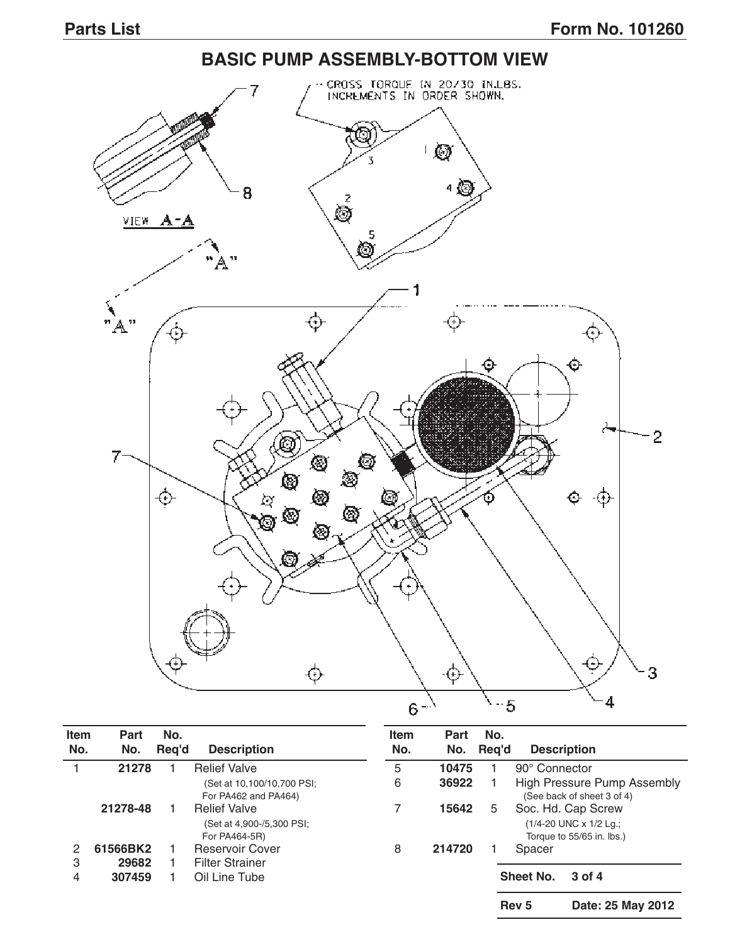#### **BASIC PUMP ASSEMBLY-BOttOM VIEW** CROSS TORQUE IN 20730 INLBS.<br>INCREMENTS IN ORDER SHOWN, 7 **Q** 4 © 8 ó VIEW A-A 5 Ò "À" 1 ⇎  $"A"$ ⊕  $\Phi$ Θ پخ  $\overline{2}$ @  $7-$ 8 ۱ ⊕ ga<br>190 ⊗ Ó ⊕ ◙ ⊗ c φ ⊕ ф  $\boldsymbol{\phi}$ 3 4  $-5$  $6 -$ <sup> $\lambda$ </sup>

| <b>Item</b><br>No. | Part<br>No. | No.<br>Reg'd | <b>Description</b>                                 | <b>Item</b><br>No. | Part<br>No. | No.<br>Reg'd | <b>Description</b>                                               |                   |
|--------------------|-------------|--------------|----------------------------------------------------|--------------------|-------------|--------------|------------------------------------------------------------------|-------------------|
|                    | 21278       |              | <b>Relief Valve</b>                                | 5                  | 10475       |              | 90° Connector                                                    |                   |
|                    |             |              | (Set at 10,100/10,700 PSI;<br>For PA462 and PA464) | 6                  | 36922       |              | <b>High Pressure Pump Assembly</b><br>(See back of sheet 3 of 4) |                   |
|                    | 21278-48    |              | <b>Relief Valve</b>                                | 7                  | 15642       | 5.           | Soc. Hd. Cap Screw                                               |                   |
|                    |             |              | (Set at 4,900-/5,300 PSI;<br>For PA464-5R)         |                    |             |              | (1/4-20 UNC x 1/2 Lg.;<br>Torque to 55/65 in. lbs.)              |                   |
| 2                  | 61566BK2    |              | <b>Reservoir Cover</b>                             | 8                  | 214720      |              | Spacer                                                           |                   |
| 3                  | 29682       |              | <b>Filter Strainer</b>                             |                    |             |              |                                                                  |                   |
| 4                  | 307459      |              | Oil Line Tube                                      |                    |             |              | <b>Sheet No.</b><br>3 of 4                                       |                   |
|                    |             |              |                                                    |                    |             |              | Rev <sub>5</sub>                                                 | Date: 25 May 2012 |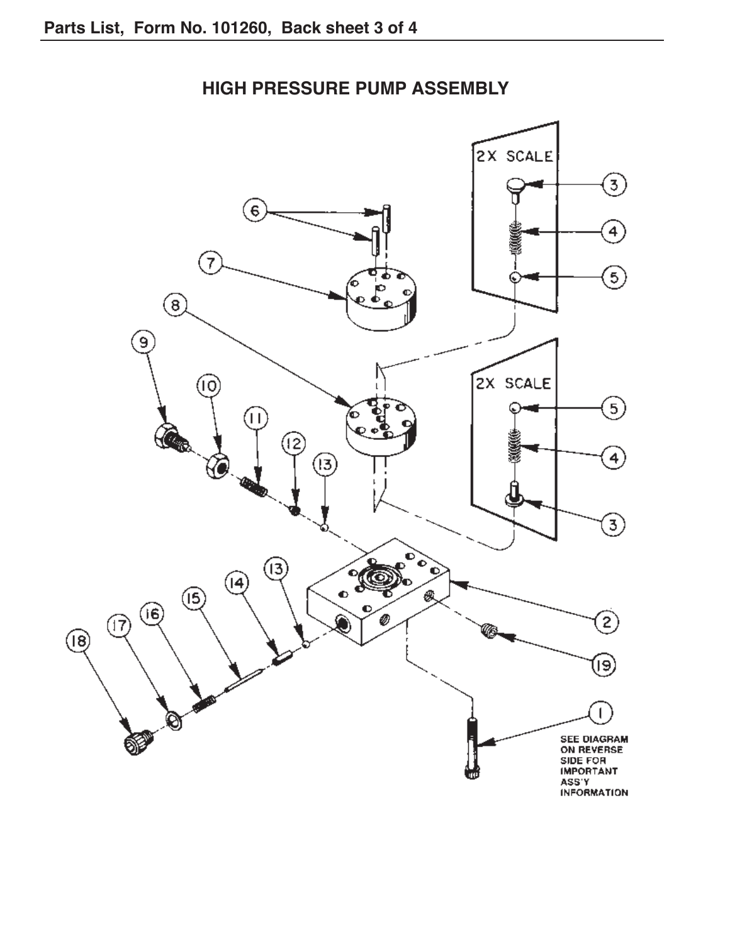

### **HIGH PRESSURE PUMP ASSEMBLY**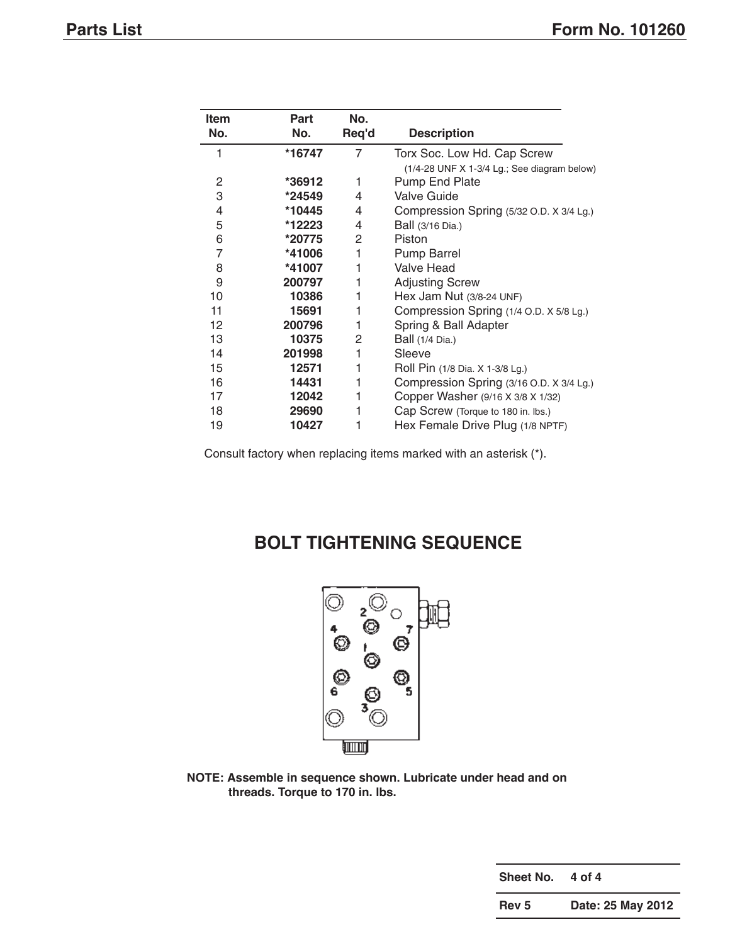| Item | Part   | No.   |                                               |
|------|--------|-------|-----------------------------------------------|
| No.  | No.    | Req'd | <b>Description</b>                            |
|      | *16747 | 7     | Torx Soc. Low Hd. Cap Screw                   |
|      |        |       | $(1/4-28$ UNF X 1-3/4 Lg.; See diagram below) |
| 2    | *36912 | 1     | Pump End Plate                                |
| 3    | *24549 | 4     | <b>Valve Guide</b>                            |
| 4    | *10445 | 4     | Compression Spring (5/32 O.D. X 3/4 Lg.)      |
| 5    | *12223 | 4     | Ball (3/16 Dia.)                              |
| 6    | *20775 | 2     | Piston                                        |
| 7    | *41006 | 1     | <b>Pump Barrel</b>                            |
| 8    | *41007 | 1     | Valve Head                                    |
| 9    | 200797 | 1     | <b>Adjusting Screw</b>                        |
| 10   | 10386  | 1     | Hex Jam Nut (3/8-24 UNF)                      |
| 11   | 15691  | 1     | Compression Spring (1/4 O.D. X 5/8 Lg.)       |
| 12   | 200796 | 1     | Spring & Ball Adapter                         |
| 13   | 10375  | 2     | Ball (1/4 Dia.)                               |
| 14   | 201998 | 1     | Sleeve                                        |
| 15   | 12571  | 1     | Roll Pin (1/8 Dia. X 1-3/8 Lg.)               |
| 16   | 14431  | 1     | Compression Spring (3/16 O.D. X 3/4 Lg.)      |
| 17   | 12042  | 1     | Copper Washer (9/16 X 3/8 X 1/32)             |
| 18   | 29690  |       | Cap Screw (Torque to 180 in. lbs.)            |
| 19   | 10427  |       | Hex Female Drive Plug (1/8 NPTF)              |

Consult factory when replacing items marked with an asterisk (\*).

## **BOLt tIGHtENING SEQUENCE**



**NOtE: Assemble in sequence shown. Lubricate under head and on threads. torque to 170 in. lbs.**

**Sheet No. 4 of 4**

**Rev 5 Date: 25 May 2012**